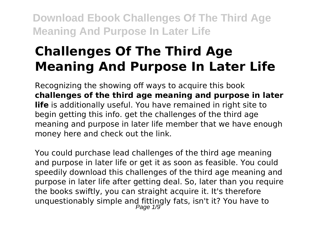# **Challenges Of The Third Age Meaning And Purpose In Later Life**

Recognizing the showing off ways to acquire this book **challenges of the third age meaning and purpose in later life** is additionally useful. You have remained in right site to begin getting this info. get the challenges of the third age meaning and purpose in later life member that we have enough money here and check out the link.

You could purchase lead challenges of the third age meaning and purpose in later life or get it as soon as feasible. You could speedily download this challenges of the third age meaning and purpose in later life after getting deal. So, later than you require the books swiftly, you can straight acquire it. It's therefore unquestionably simple and fittingly fats, isn't it? You have to<br>Page 1/9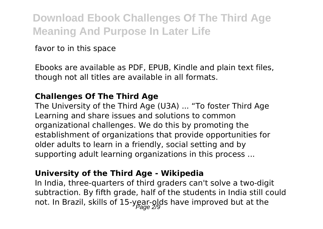favor to in this space

Ebooks are available as PDF, EPUB, Kindle and plain text files, though not all titles are available in all formats.

### **Challenges Of The Third Age**

The University of the Third Age (U3A) ... "To foster Third Age Learning and share issues and solutions to common organizational challenges. We do this by promoting the establishment of organizations that provide opportunities for older adults to learn in a friendly, social setting and by supporting adult learning organizations in this process ...

#### **University of the Third Age - Wikipedia**

In India, three-quarters of third graders can't solve a two-digit subtraction. By fifth grade, half of the students in India still could not. In Brazil, skills of 15-year-olds have improved but at the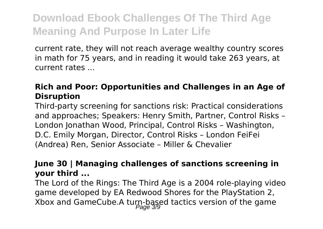current rate, they will not reach average wealthy country scores in math for 75 years, and in reading it would take 263 years, at current rates ...

# **Rich and Poor: Opportunities and Challenges in an Age of Disruption**

Third-party screening for sanctions risk: Practical considerations and approaches; Speakers: Henry Smith, Partner, Control Risks – London Jonathan Wood, Principal, Control Risks – Washington, D.C. Emily Morgan, Director, Control Risks – London FeiFei (Andrea) Ren, Senior Associate – Miller & Chevalier

### **June 30 | Managing challenges of sanctions screening in your third ...**

The Lord of the Rings: The Third Age is a 2004 role-playing video game developed by EA Redwood Shores for the PlayStation 2, Xbox and GameCube.A turn-based tactics version of the game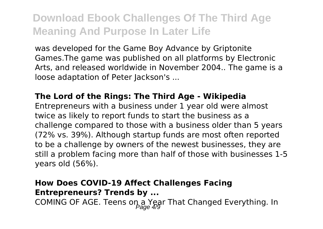was developed for the Game Boy Advance by Griptonite Games.The game was published on all platforms by Electronic Arts, and released worldwide in November 2004.. The game is a loose adaptation of Peter Jackson's ...

#### **The Lord of the Rings: The Third Age - Wikipedia**

Entrepreneurs with a business under 1 year old were almost twice as likely to report funds to start the business as a challenge compared to those with a business older than 5 years (72% vs. 39%). Although startup funds are most often reported to be a challenge by owners of the newest businesses, they are still a problem facing more than half of those with businesses 1-5 years old (56%).

# **How Does COVID-19 Affect Challenges Facing Entrepreneurs? Trends by ...** COMING OF AGE. Teens on a Year That Changed Everything. In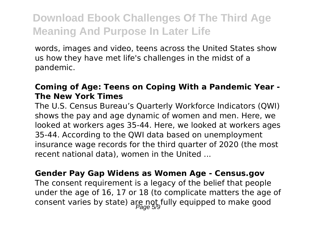words, images and video, teens across the United States show us how they have met life's challenges in the midst of a pandemic.

### **Coming of Age: Teens on Coping With a Pandemic Year - The New York Times**

The U.S. Census Bureau's Quarterly Workforce Indicators (QWI) shows the pay and age dynamic of women and men. Here, we looked at workers ages 35-44. Here, we looked at workers ages 35-44. According to the QWI data based on unemployment insurance wage records for the third quarter of 2020 (the most recent national data), women in the United ...

#### **Gender Pay Gap Widens as Women Age - Census.gov**

The consent requirement is a legacy of the belief that people under the age of 16, 17 or 18 (to complicate matters the age of consent varies by state) are not fully equipped to make good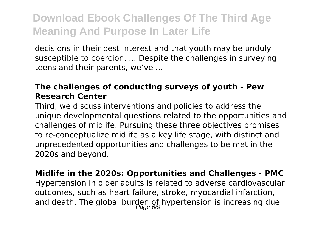decisions in their best interest and that youth may be unduly susceptible to coercion. ... Despite the challenges in surveying teens and their parents, we've ...

### **The challenges of conducting surveys of youth - Pew Research Center**

Third, we discuss interventions and policies to address the unique developmental questions related to the opportunities and challenges of midlife. Pursuing these three objectives promises to re-conceptualize midlife as a key life stage, with distinct and unprecedented opportunities and challenges to be met in the 2020s and beyond.

**Midlife in the 2020s: Opportunities and Challenges - PMC** Hypertension in older adults is related to adverse cardiovascular outcomes, such as heart failure, stroke, myocardial infarction, and death. The global burden of hypertension is increasing due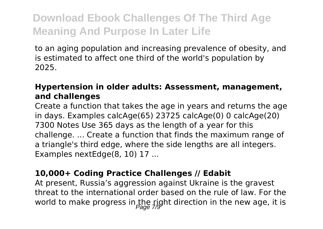to an aging population and increasing prevalence of obesity, and is estimated to affect one third of the world's population by 2025.

### **Hypertension in older adults: Assessment, management, and challenges**

Create a function that takes the age in years and returns the age in days. Examples calcAge(65) 23725 calcAge(0) 0 calcAge(20) 7300 Notes Use 365 days as the length of a year for this challenge. ... Create a function that finds the maximum range of a triangle's third edge, where the side lengths are all integers. Examples nextEdge(8, 10) 17 ...

### **10,000+ Coding Practice Challenges // Edabit**

At present, Russia's aggression against Ukraine is the gravest threat to the international order based on the rule of law. For the world to make progress in the right direction in the new age, it is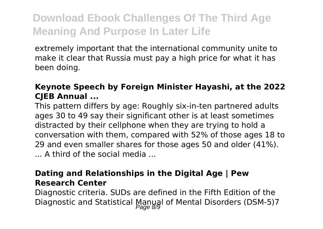extremely important that the international community unite to make it clear that Russia must pay a high price for what it has been doing.

# **Keynote Speech by Foreign Minister Hayashi, at the 2022 CJEB Annual ...**

This pattern differs by age: Roughly six-in-ten partnered adults ages 30 to 49 say their significant other is at least sometimes distracted by their cellphone when they are trying to hold a conversation with them, compared with 52% of those ages 18 to 29 and even smaller shares for those ages 50 and older (41%). ... A third of the social media ...

### **Dating and Relationships in the Digital Age | Pew Research Center**

Diagnostic criteria. SUDs are defined in the Fifth Edition of the Diagnostic and Statistical Manual of Mental Disorders (DSM-5)7